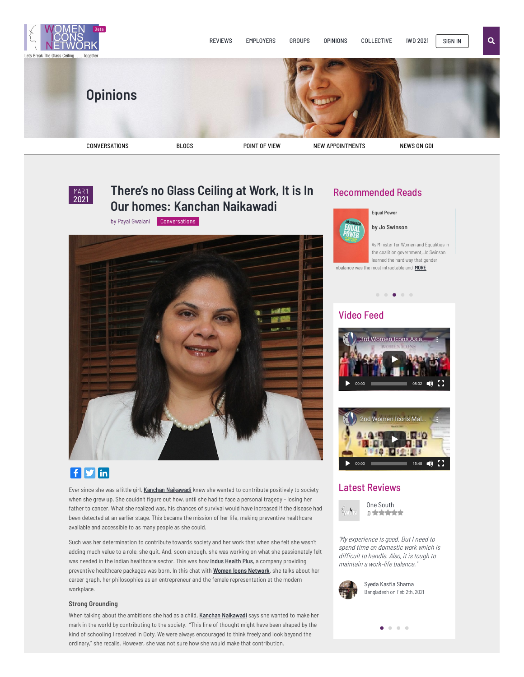

# **There's no Glass Ceiling at Work, It is In Our homes: Kanchan [Naikawadi](https://womeniconsnetwork.com/theres-no-glass-ceiling-at-work-it-is-in-our-homes-kanchan-naikawadi/)**

by Payal Gwalani [Conversations](https://womeniconsnetwork.com/category/conversations/)



## $f$  $g$  $in$

Ever since she was a little girl, Kanchan [Naikawadi](https://in.linkedin.com/in/kanchan-naikawadi-888b8236) knew she wanted to contribute positively to society when she grew up. She couldn't figure out how, until she had to face a personal tragedy – losing her father to cancer. What she realized was, his chances of survival would have increased if the disease had been detected at an earlier stage. This became the mission of her life, making preventive healthcare available and accessible to as many people as she could.

Such was her determination to contribute towards society and her work that when she felt she wasn't adding much value to a role, she quit. And, soon enough, she was working on what she passionately felt was needed in the Indian healthcare sector. This was how *Indus [Health](https://www.indushealthplus.com/) Plus*, a company providing preventive healthcare packages was born. In this chat with **Women Icons [Network](https://womeniconsnetwork.com/)**, she talks about her career graph, her philosophies as an entrepreneur and the female representation at the modern workplace.

## **Strong Grounding**

When talking about the ambitions she had as a child, Kanchan [Naikawadi](https://in.linkedin.com/in/kanchan-naikawadi-888b8236) says she wanted to make her mark in the world by contributing to the society. "This line of thought might have been shaped by the kind of schooling I received in Ooty. We were always encouraged to think freely and look beyond the ordinary," she recalls. However, she was not sure how she would make that contribution.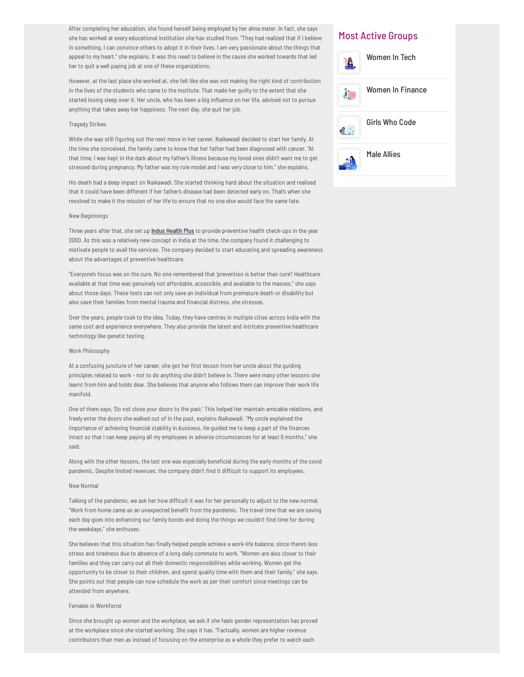After completing her education, she found herself being employed by her alma mater. In fact, she says she has worked at every educational institution she has studied from. "They had realized that if I believe in something, I can convince others to adopt it in their lives. I am very passionate about the things that appeal to my heart," she explains. It was this need to believe in the cause she worked towards that led her to quit a well paying job at one of these organizations.

However, at the last place she worked at, she felt like she was not making the right kind of contribution in the lives of the students who came to the institute. That made her guilty to the extent that she started losing sleep over it. Her uncle, who has been a big influence on her life, advised not to pursue anything that takes away her happiness. The next day, she quit her job.

### Tragedy Strikes

While she was still figuring out the next move in her career, Naikawadi decided to start her family. At the time she conceived, the family came to know that her father had been diagnosed with cancer. "At that time, I was kept in the dark about my father's illness because my loved ones didn't want me to get stressed during pregnancy. My father was my role model and I was very close to him," she explains.

His death had a deep impact on Naikawadi. She started thinking hard about the situation and realised that it could have been different if her father's disease had been detected early on. That's when she resolved to make it the mission of her life to ensure that no one else would face the same fate.

## New Beginnings

Three years after that, she set up *Indus [Health](https://www.indushealthplus.com/) Plus* to provide preventive health check-ups in the year 2000. As this was a relatively new concept in India at the time, the company found it challenging to motivate people to avail the services. The company decided to start educating and spreading awareness about the advantages of preventive healthcare.

"Everyone's focus was on the cure. No one remembered that 'prevention is better than cure'! Healthcare available at that time was genuinely not affordable, accessible, and available to the masses," she says about those days. These tests can not only save an individual from premature death or disability but also save their families from mental trauma and financial distress, she stresses.

Over the years, people took to the idea. Today, they have centres in multiple cities across India with the same cost and experience everywhere. They also provide the latest and intricate preventive healthcare technology like genetic testing.

## Work Philosophy

At a confusing juncture of her career, she got her first lesson from her uncle about the guiding principles related to work – not to do anything she didn't believe in. There were many other lessons she learnt from him and holds dear. She believes that anyone who follows them can improve their work life manifold.

One of them says, 'Do not close your doors to the past.' This helped her maintain amicable relations, and freely enter the doors she walked out of in the past, explains Naikawadi. "My uncle explained the importance of achieving financial stability in business. He guided me to keep a part of the finances intact so that I can keep paying all my employees in adverse circumstances for at least 6 months," she said.

Along with the other lessons, the last one was especially beneficial during the early months of the covid pandemic. Despite limited revenues, the company didn't find it difficult to support its employees.

### New Normal

Talking of the pandemic, we ask her how difficult it was for her personally to adjust to the new normal. "Work from home came as an unexpected benefit from the pandemic. The travel time that we are saving each day goes into enhancing our family bonds and doing the things we couldn't find time for during the weekdays," she enthuses.

She believes that this situation has finally helped people achieve a work-life balance, since there's less stress and tiredness due to absence of a long daily commute to work. "Women are also closer to their families and they can carry out all their domestic responsibilities while working. Women get the opportunity to be closer to their children, and spend quality time with them and their family," she says. She points out that people can now schedule the work as per their comfort since meetings can be attended from anywhere.

## Females in Workforce

Since she brought up women and the workplace, we ask if she feels gender representation has proved at the workplace since she started working. She says it has. "Factually, women are higher revenue contributors than men as instead of focusing on the enterprise as a whole they prefer to watch each